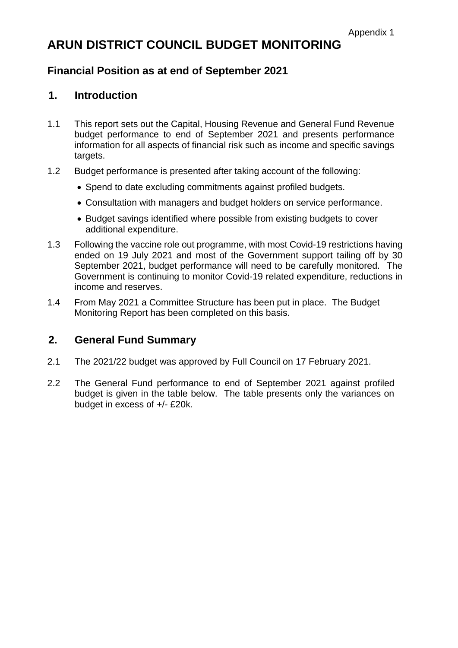# **ARUN DISTRICT COUNCIL BUDGET MONITORING**

# **Financial Position as at end of September 2021**

# **1. Introduction**

- 1.1 This report sets out the Capital, Housing Revenue and General Fund Revenue budget performance to end of September 2021 and presents performance information for all aspects of financial risk such as income and specific savings targets.
- 1.2 Budget performance is presented after taking account of the following:
	- Spend to date excluding commitments against profiled budgets.
	- Consultation with managers and budget holders on service performance.
	- Budget savings identified where possible from existing budgets to cover additional expenditure.
- 1.3 Following the vaccine role out programme, with most Covid-19 restrictions having ended on 19 July 2021 and most of the Government support tailing off by 30 September 2021, budget performance will need to be carefully monitored. The Government is continuing to monitor Covid-19 related expenditure, reductions in income and reserves.
- 1.4 From May 2021 a Committee Structure has been put in place. The Budget Monitoring Report has been completed on this basis.

# **2. General Fund Summary**

- 2.1 The 2021/22 budget was approved by Full Council on 17 February 2021.
- 2.2 The General Fund performance to end of September 2021 against profiled budget is given in the table below. The table presents only the variances on budget in excess of +/- £20k.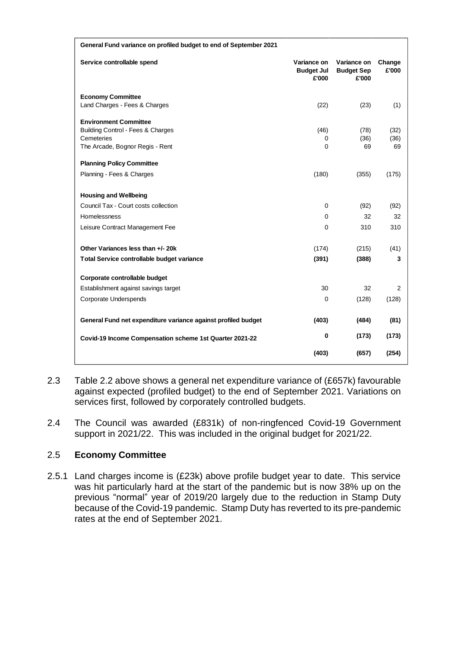| General Fund variance on profiled budget to end of September 2021 |                                           |                                           |                 |
|-------------------------------------------------------------------|-------------------------------------------|-------------------------------------------|-----------------|
| Service controllable spend                                        | Variance on<br><b>Budget Jul</b><br>£'000 | Variance on<br><b>Budget Sep</b><br>£'000 | Change<br>£'000 |
| <b>Economy Committee</b>                                          |                                           |                                           |                 |
| Land Charges - Fees & Charges                                     | (22)                                      | (23)                                      | (1)             |
| <b>Environment Committee</b>                                      |                                           |                                           |                 |
| <b>Building Control - Fees &amp; Charges</b>                      | (46)                                      | (78)                                      | (32)            |
| Cemeteries                                                        | 0<br>0                                    | (36)<br>69                                | (36)<br>69      |
| The Arcade, Bognor Regis - Rent                                   |                                           |                                           |                 |
| <b>Planning Policy Committee</b>                                  |                                           |                                           |                 |
| Planning - Fees & Charges                                         | (180)                                     | (355)                                     | (175)           |
|                                                                   |                                           |                                           |                 |
| <b>Housing and Wellbeing</b>                                      |                                           |                                           |                 |
| Council Tax - Court costs collection                              | 0                                         | (92)                                      | (92)            |
| <b>Homelessness</b>                                               | 0                                         | 32                                        | 32              |
| Leisure Contract Management Fee                                   | 0                                         | 310                                       | 310             |
| Other Variances less than +/- 20k                                 | (174)                                     | (215)                                     | (41)            |
| Total Service controllable budget variance                        | (391)                                     | (388)                                     | 3               |
| Corporate controllable budget                                     |                                           |                                           |                 |
| Establishment against savings target                              | 30                                        | 32                                        | 2               |
| Corporate Underspends                                             | $\Omega$                                  | (128)                                     | (128)           |
|                                                                   |                                           |                                           |                 |
| General Fund net expenditure variance against profiled budget     | (403)                                     | (484)                                     | (81)            |
| Covid-19 Income Compensation scheme 1st Quarter 2021-22           | 0                                         | (173)                                     | (173)           |
|                                                                   | (403)                                     | (657)                                     | (254)           |

- 2.3 Table 2.2 above shows a general net expenditure variance of (£657k) favourable against expected (profiled budget) to the end of September 2021. Variations on services first, followed by corporately controlled budgets.
- 2.4 The Council was awarded (£831k) of non-ringfenced Covid-19 Government support in 2021/22. This was included in the original budget for 2021/22.

#### 2.5 **Economy Committee**

2.5.1 Land charges income is (£23k) above profile budget year to date. This service was hit particularly hard at the start of the pandemic but is now 38% up on the previous "normal" year of 2019/20 largely due to the reduction in Stamp Duty because of the Covid-19 pandemic. Stamp Duty has reverted to its pre-pandemic rates at the end of September 2021.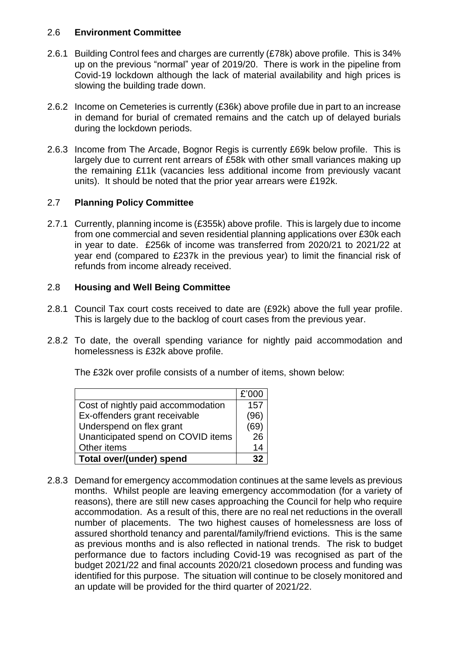#### 2.6 **Environment Committee**

- 2.6.1 Building Control fees and charges are currently (£78k) above profile. This is 34% up on the previous "normal" year of 2019/20. There is work in the pipeline from Covid-19 lockdown although the lack of material availability and high prices is slowing the building trade down.
- 2.6.2 Income on Cemeteries is currently (£36k) above profile due in part to an increase in demand for burial of cremated remains and the catch up of delayed burials during the lockdown periods.
- 2.6.3 Income from The Arcade, Bognor Regis is currently £69k below profile. This is largely due to current rent arrears of £58k with other small variances making up the remaining £11k (vacancies less additional income from previously vacant units). It should be noted that the prior year arrears were £192k.

#### 2.7 **Planning Policy Committee**

2.7.1 Currently, planning income is (£355k) above profile. This is largely due to income from one commercial and seven residential planning applications over £30k each in year to date. £256k of income was transferred from 2020/21 to 2021/22 at year end (compared to £237k in the previous year) to limit the financial risk of refunds from income already received.

#### 2.8 **Housing and Well Being Committee**

- 2.8.1 Council Tax court costs received to date are (£92k) above the full year profile. This is largely due to the backlog of court cases from the previous year.
- 2.8.2 To date, the overall spending variance for nightly paid accommodation and homelessness is £32k above profile.

The £32k over profile consists of a number of items, shown below:

|                                    | £'000 |
|------------------------------------|-------|
| Cost of nightly paid accommodation | 157   |
| Ex-offenders grant receivable      | (96)  |
| Underspend on flex grant           | (69   |
| Unanticipated spend on COVID items | 26    |
| Other items                        | 14    |
| <b>Total over/(under) spend</b>    |       |

2.8.3 Demand for emergency accommodation continues at the same levels as previous months. Whilst people are leaving emergency accommodation (for a variety of reasons), there are still new cases approaching the Council for help who require accommodation. As a result of this, there are no real net reductions in the overall number of placements. The two highest causes of homelessness are loss of assured shorthold tenancy and parental/family/friend evictions. This is the same as previous months and is also reflected in national trends. The risk to budget performance due to factors including Covid-19 was recognised as part of the budget 2021/22 and final accounts 2020/21 closedown process and funding was identified for this purpose. The situation will continue to be closely monitored and an update will be provided for the third quarter of 2021/22.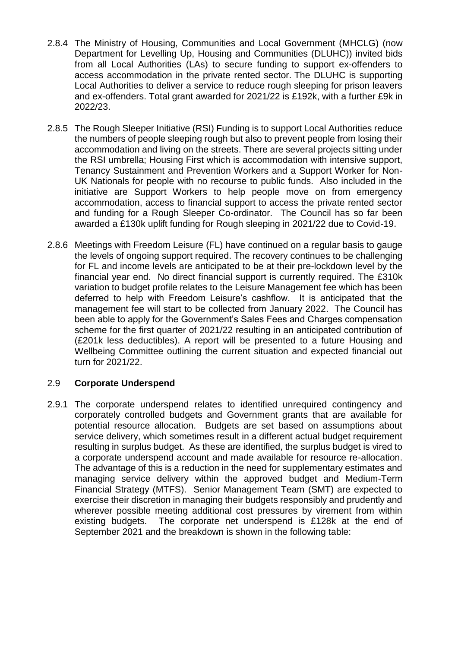- 2.8.4 The Ministry of Housing, Communities and Local Government (MHCLG) (now Department for Levelling Up, Housing and Communities (DLUHC)) invited bids from all Local Authorities (LAs) to secure funding to support ex-offenders to access accommodation in the private rented sector. The DLUHC is supporting Local Authorities to deliver a service to reduce rough sleeping for prison leavers and ex-offenders. Total grant awarded for 2021/22 is £192k, with a further £9k in 2022/23.
- 2.8.5 The Rough Sleeper Initiative (RSI) Funding is to support Local Authorities reduce the numbers of people sleeping rough but also to prevent people from losing their accommodation and living on the streets. There are several projects sitting under the RSI umbrella; Housing First which is accommodation with intensive support, Tenancy Sustainment and Prevention Workers and a Support Worker for Non-UK Nationals for people with no recourse to public funds. Also included in the initiative are Support Workers to help people move on from emergency accommodation, access to financial support to access the private rented sector and funding for a Rough Sleeper Co-ordinator. The Council has so far been awarded a £130k uplift funding for Rough sleeping in 2021/22 due to Covid-19.
- 2.8.6 Meetings with Freedom Leisure (FL) have continued on a regular basis to gauge the levels of ongoing support required. The recovery continues to be challenging for FL and income levels are anticipated to be at their pre-lockdown level by the financial year end. No direct financial support is currently required. The £310k variation to budget profile relates to the Leisure Management fee which has been deferred to help with Freedom Leisure's cashflow. It is anticipated that the management fee will start to be collected from January 2022. The Council has been able to apply for the Government's Sales Fees and Charges compensation scheme for the first quarter of 2021/22 resulting in an anticipated contribution of (£201k less deductibles). A report will be presented to a future Housing and Wellbeing Committee outlining the current situation and expected financial out turn for 2021/22.

#### 2.9 **Corporate Underspend**

2.9.1 The corporate underspend relates to identified unrequired contingency and corporately controlled budgets and Government grants that are available for potential resource allocation. Budgets are set based on assumptions about service delivery, which sometimes result in a different actual budget requirement resulting in surplus budget. As these are identified, the surplus budget is vired to a corporate underspend account and made available for resource re-allocation. The advantage of this is a reduction in the need for supplementary estimates and managing service delivery within the approved budget and Medium-Term Financial Strategy (MTFS). Senior Management Team (SMT) are expected to exercise their discretion in managing their budgets responsibly and prudently and wherever possible meeting additional cost pressures by virement from within existing budgets. The corporate net underspend is £128k at the end of September 2021 and the breakdown is shown in the following table: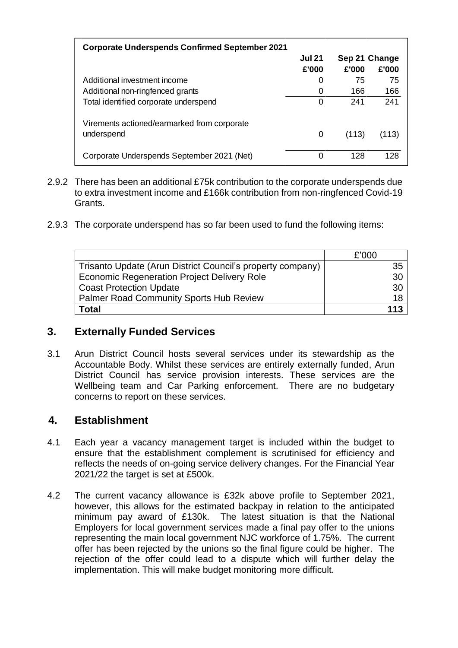| <b>Corporate Underspends Confirmed September 2021</b> |               |               |       |
|-------------------------------------------------------|---------------|---------------|-------|
|                                                       | <b>Jul 21</b> | Sep 21 Change |       |
|                                                       | £'000         | £'000         | £'000 |
| Additional investment income                          | 0             | 75            | 75    |
| Additional non-ringfenced grants                      | 0             | 166           | 166   |
| Total identified corporate underspend                 | 0             | 241           | 241   |
| Virements actioned/earmarked from corporate           |               |               |       |
| underspend                                            | 0             | (113)         | (113) |
| Corporate Underspends September 2021 (Net)            | 0             | 128           | 128   |

- 2.9.2 There has been an additional £75k contribution to the corporate underspends due to extra investment income and £166k contribution from non-ringfenced Covid-19 Grants.
- 2.9.3 The corporate underspend has so far been used to fund the following items:

|                                                            | £'000 |
|------------------------------------------------------------|-------|
| Trisanto Update (Arun District Council's property company) | 35    |
| <b>Economic Regeneration Project Delivery Role</b>         | 30    |
| <b>Coast Protection Update</b>                             | 30    |
| <b>Palmer Road Community Sports Hub Review</b>             | 18    |
| <b>Total</b>                                               | 113   |

#### **3. Externally Funded Services**

3.1 Arun District Council hosts several services under its stewardship as the Accountable Body. Whilst these services are entirely externally funded, Arun District Council has service provision interests. These services are the Wellbeing team and Car Parking enforcement. There are no budgetary concerns to report on these services.

#### **4. Establishment**

- 4.1 Each year a vacancy management target is included within the budget to ensure that the establishment complement is scrutinised for efficiency and reflects the needs of on-going service delivery changes. For the Financial Year 2021/22 the target is set at £500k.
- 4.2 The current vacancy allowance is £32k above profile to September 2021, however, this allows for the estimated backpay in relation to the anticipated minimum pay award of £130k. The latest situation is that the National Employers for local government services made a final pay offer to the unions representing the main local government NJC workforce of 1.75%. The current offer has been rejected by the unions so the final figure could be higher. The rejection of the offer could lead to a dispute which will further delay the implementation. This will make budget monitoring more difficult.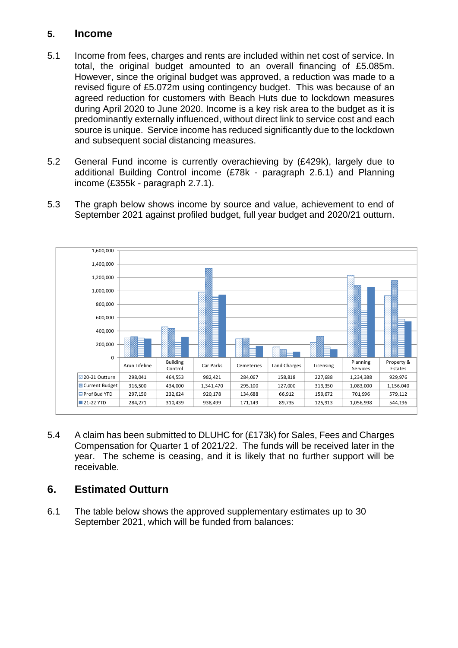#### **5. Income**

- 5.1 Income from fees, charges and rents are included within net cost of service. In total, the original budget amounted to an overall financing of £5.085m. However, since the original budget was approved, a reduction was made to a revised figure of £5.072m using contingency budget. This was because of an agreed reduction for customers with Beach Huts due to lockdown measures during April 2020 to June 2020. Income is a key risk area to the budget as it is predominantly externally influenced, without direct link to service cost and each source is unique. Service income has reduced significantly due to the lockdown and subsequent social distancing measures.
- 5.2 General Fund income is currently overachieving by (£429k), largely due to additional Building Control income (£78k - paragraph 2.6.1) and Planning income (£355k - paragraph 2.7.1).
- 5.3 The graph below shows income by source and value, achievement to end of September 2021 against profiled budget, full year budget and 2020/21 outturn.



5.4 A claim has been submitted to DLUHC for (£173k) for Sales, Fees and Charges Compensation for Quarter 1 of 2021/22. The funds will be received later in the year. The scheme is ceasing, and it is likely that no further support will be receivable.

# **6. Estimated Outturn**

6.1 The table below shows the approved supplementary estimates up to 30 September 2021, which will be funded from balances: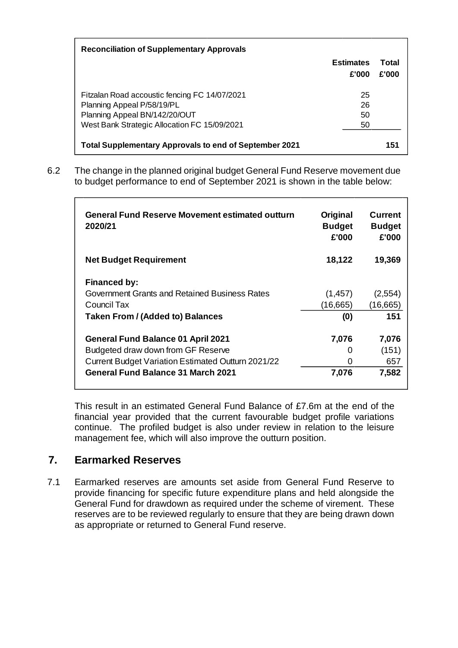| <b>Reconciliation of Supplementary Approvals</b>              |                           |                |
|---------------------------------------------------------------|---------------------------|----------------|
|                                                               | <b>Estimates</b><br>£'000 | Total<br>£'000 |
| Fitzalan Road accoustic fencing FC 14/07/2021                 | 25                        |                |
| Planning Appeal P/58/19/PL                                    | 26                        |                |
| Planning Appeal BN/142/20/OUT                                 | 50                        |                |
| West Bank Strategic Allocation FC 15/09/2021                  | 50                        |                |
| <b>Total Supplementary Approvals to end of September 2021</b> |                           | 151            |

6.2 The change in the planned original budget General Fund Reserve movement due to budget performance to end of September 2021 is shown in the table below:

| <b>General Fund Reserve Movement estimated outturn</b><br>2020/21 | Original<br><b>Budget</b><br>£'000 | <b>Current</b><br><b>Budget</b><br>£'000 |
|-------------------------------------------------------------------|------------------------------------|------------------------------------------|
| <b>Net Budget Requirement</b>                                     | 18,122                             | 19,369                                   |
| <b>Financed by:</b>                                               |                                    |                                          |
| Government Grants and Retained Business Rates                     | (1, 457)                           | (2,554)                                  |
| Council Tax                                                       | (16,665)                           | (16, 665)                                |
| <b>Taken From / (Added to) Balances</b>                           | (0)                                | 151                                      |
| <b>General Fund Balance 01 April 2021</b>                         | 7,076                              | 7,076                                    |
| Budgeted draw down from GF Reserve                                | O                                  | (151)                                    |
| <b>Current Budget Variation Estimated Outturn 2021/22</b>         | O                                  | 657                                      |
| General Fund Balance 31 March 2021                                | 7,076                              | 7,582                                    |

This result in an estimated General Fund Balance of £7.6m at the end of the financial year provided that the current favourable budget profile variations continue. The profiled budget is also under review in relation to the leisure management fee, which will also improve the outturn position.

# **7. Earmarked Reserves**

7.1 Earmarked reserves are amounts set aside from General Fund Reserve to provide financing for specific future expenditure plans and held alongside the General Fund for drawdown as required under the scheme of virement. These reserves are to be reviewed regularly to ensure that they are being drawn down as appropriate or returned to General Fund reserve.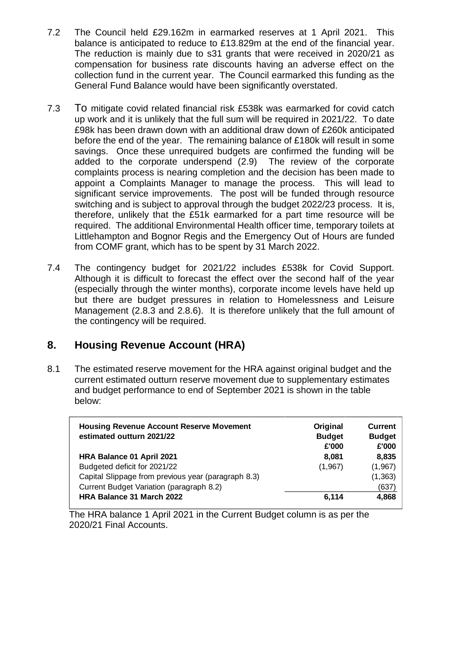- 7.2 The Council held £29.162m in earmarked reserves at 1 April 2021. This balance is anticipated to reduce to £13.829m at the end of the financial year. The reduction is mainly due to s31 grants that were received in 2020/21 as compensation for business rate discounts having an adverse effect on the collection fund in the current year. The Council earmarked this funding as the General Fund Balance would have been significantly overstated.
- 7.3 To mitigate covid related financial risk £538k was earmarked for covid catch up work and it is unlikely that the full sum will be required in 2021/22. To date £98k has been drawn down with an additional draw down of £260k anticipated before the end of the year. The remaining balance of £180k will result in some savings. Once these unrequired budgets are confirmed the funding will be added to the corporate underspend (2.9) The review of the corporate complaints process is nearing completion and the decision has been made to appoint a Complaints Manager to manage the process. This will lead to significant service improvements. The post will be funded through resource switching and is subject to approval through the budget 2022/23 process. It is, therefore, unlikely that the £51k earmarked for a part time resource will be required. The additional Environmental Health officer time, temporary toilets at Littlehampton and Bognor Regis and the Emergency Out of Hours are funded from COMF grant, which has to be spent by 31 March 2022.
- 7.4 The contingency budget for 2021/22 includes £538k for Covid Support. Although it is difficult to forecast the effect over the second half of the year (especially through the winter months), corporate income levels have held up but there are budget pressures in relation to Homelessness and Leisure Management (2.8.3 and 2.8.6). It is therefore unlikely that the full amount of the contingency will be required.

# **8. Housing Revenue Account (HRA)**

8.1 The estimated reserve movement for the HRA against original budget and the current estimated outturn reserve movement due to supplementary estimates and budget performance to end of September 2021 is shown in the table below:

| <b>Housing Revenue Account Reserve Movement</b><br>estimated outturn 2021/22 | Original<br><b>Budget</b><br>£'000 | <b>Current</b><br><b>Budget</b><br>£'000 |
|------------------------------------------------------------------------------|------------------------------------|------------------------------------------|
| HRA Balance 01 April 2021                                                    | 8.081                              | 8.835                                    |
| Budgeted deficit for 2021/22                                                 | (1,967)                            | (1,967)                                  |
| Capital Slippage from previous year (paragraph 8.3)                          |                                    | (1, 363)                                 |
| Current Budget Variation (paragraph 8.2)                                     |                                    | (637)                                    |
| HRA Balance 31 March 2022                                                    | 6.114                              | 4,868                                    |

The HRA balance 1 April 2021 in the Current Budget column is as per the 2020/21 Final Accounts.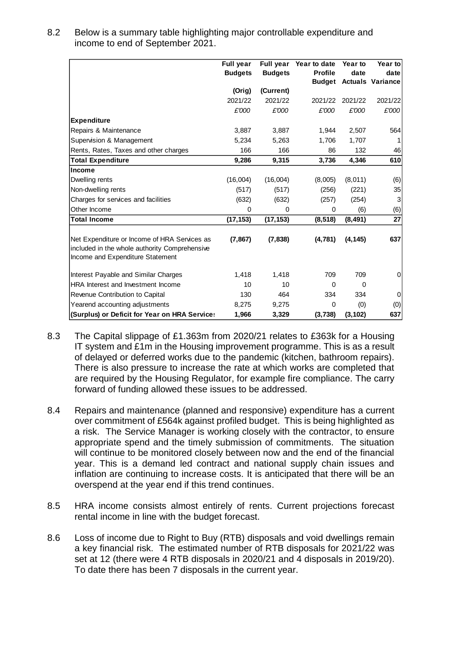| 8.2 | Below is a summary table highlighting major controllable expenditure and |
|-----|--------------------------------------------------------------------------|
|     | income to end of September 2021.                                         |

|                                               | <b>Full year</b><br><b>Budgets</b> | <b>Full year</b><br><b>Budgets</b> | Year to date<br><b>Profile</b> | Year to<br>date | Year to<br>date         |
|-----------------------------------------------|------------------------------------|------------------------------------|--------------------------------|-----------------|-------------------------|
|                                               |                                    |                                    | <b>Budget</b>                  |                 | <b>Actuals Variance</b> |
|                                               | (Orig)                             | (Current)                          |                                |                 |                         |
|                                               | 2021/22                            | 2021/22                            | 2021/22                        | 2021/22         | 2021/22                 |
|                                               | £'000                              | £'000                              | £'000                          | £'000           | $\pounds' O O O$        |
| <b>Expenditure</b>                            |                                    |                                    |                                |                 |                         |
| Repairs & Maintenance                         | 3,887                              | 3,887                              | 1,944                          | 2,507           | 564                     |
| Supervision & Management                      | 5,234                              | 5,263                              | 1,706                          | 1,707           |                         |
| Rents, Rates, Taxes and other charges         | 166                                | 166                                | 86                             | 132             | 46                      |
| <b>Total Expenditure</b>                      | 9,286                              | 9,315                              | 3,736                          | 4,346           | 610                     |
| Income                                        |                                    |                                    |                                |                 |                         |
| Dwelling rents                                | (16,004)                           | (16,004)                           | (8,005)                        | (8,011)         | (6)                     |
| Non-dwelling rents                            | (517)                              | (517)                              | (256)                          | (221)           | 35                      |
| Charges for services and facilities           | (632)                              | (632)                              | (257)                          | (254)           | 3                       |
| Other Income                                  | 0                                  | 0                                  | 0                              | (6)             | (6)                     |
| <b>Total Income</b>                           | (17, 153)                          | (17, 153)                          | (8, 518)                       | (8, 491)        | 27                      |
|                                               |                                    |                                    |                                |                 |                         |
| Net Expenditure or Income of HRA Services as  | (7, 867)                           | (7, 838)                           | (4,781)                        | (4, 145)        | 637                     |
| included in the whole authority Comprehensive |                                    |                                    |                                |                 |                         |
| Income and Expenditure Statement              |                                    |                                    |                                |                 |                         |
| Interest Payable and Similar Charges          | 1,418                              | 1,418                              | 709                            | 709             | 0                       |
| <b>HRA</b> Interest and Investment Income     | 10                                 | 10                                 | $\mathbf 0$                    | $\Omega$        |                         |
| Revenue Contribution to Capital               | 130                                | 464                                | 334                            | 334             | 0                       |
| Yearend accounting adjustments                | 8,275                              | 9,275                              | $\Omega$                       | (0)             | (0)                     |
| (Surplus) or Deficit for Year on HRA Service: | 1,966                              | 3,329                              | (3,738)                        | (3, 102)        | 637                     |

- 8.3 The Capital slippage of £1.363m from 2020/21 relates to £363k for a Housing IT system and £1m in the Housing improvement programme. This is as a result of delayed or deferred works due to the pandemic (kitchen, bathroom repairs). There is also pressure to increase the rate at which works are completed that are required by the Housing Regulator, for example fire compliance. The carry forward of funding allowed these issues to be addressed.
- 8.4 Repairs and maintenance (planned and responsive) expenditure has a current over commitment of £564k against profiled budget. This is being highlighted as a risk. The Service Manager is working closely with the contractor, to ensure appropriate spend and the timely submission of commitments. The situation will continue to be monitored closely between now and the end of the financial year. This is a demand led contract and national supply chain issues and inflation are continuing to increase costs. It is anticipated that there will be an overspend at the year end if this trend continues.
- 8.5 HRA income consists almost entirely of rents. Current projections forecast rental income in line with the budget forecast.
- 8.6 Loss of income due to Right to Buy (RTB) disposals and void dwellings remain a key financial risk. The estimated number of RTB disposals for 2021/22 was set at 12 (there were 4 RTB disposals in 2020/21 and 4 disposals in 2019/20). To date there has been 7 disposals in the current year.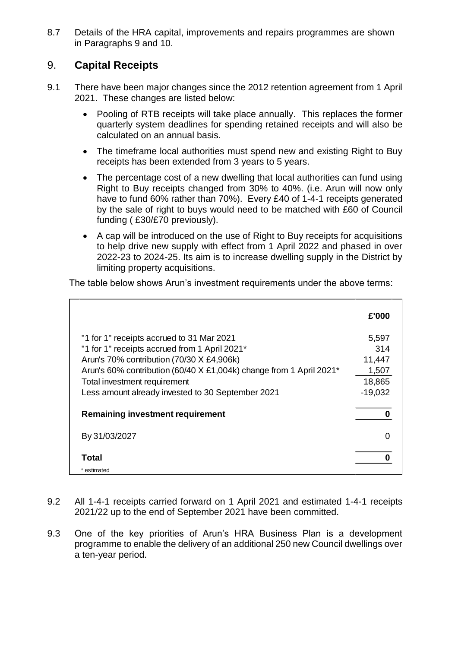8.7 Details of the HRA capital, improvements and repairs programmes are shown in Paragraphs 9 and 10.

# 9. **Capital Receipts**

- 9.1 There have been major changes since the 2012 retention agreement from 1 April 2021. These changes are listed below:
	- Pooling of RTB receipts will take place annually. This replaces the former quarterly system deadlines for spending retained receipts and will also be calculated on an annual basis.
	- The timeframe local authorities must spend new and existing Right to Buy receipts has been extended from 3 years to 5 years.
	- The percentage cost of a new dwelling that local authorities can fund using Right to Buy receipts changed from 30% to 40%. (i.e. Arun will now only have to fund 60% rather than 70%). Every £40 of 1-4-1 receipts generated by the sale of right to buys would need to be matched with £60 of Council funding ( £30/£70 previously).
	- A cap will be introduced on the use of Right to Buy receipts for acquisitions to help drive new supply with effect from 1 April 2022 and phased in over 2022-23 to 2024-25. Its aim is to increase dwelling supply in the District by limiting property acquisitions.

The table below shows Arun's investment requirements under the above terms:

|                                                                     | £'000     |
|---------------------------------------------------------------------|-----------|
| "1 for 1" receipts accrued to 31 Mar 2021                           | 5,597     |
| "1 for 1" receipts accrued from 1 April 2021*                       | 314       |
| Arun's 70% contribution (70/30 X £4,906k)                           | 11,447    |
| Arun's 60% contribution (60/40 X £1,004k) change from 1 April 2021* | 1,507     |
| Total investment requirement                                        | 18,865    |
| Less amount already invested to 30 September 2021                   | $-19,032$ |
| <b>Remaining investment requirement</b>                             |           |
| By 31/03/2027                                                       |           |
| Total                                                               |           |
| * estimated                                                         |           |

- 9.2 All 1-4-1 receipts carried forward on 1 April 2021 and estimated 1-4-1 receipts 2021/22 up to the end of September 2021 have been committed.
- 9.3 One of the key priorities of Arun's HRA Business Plan is a development programme to enable the delivery of an additional 250 new Council dwellings over a ten-year period.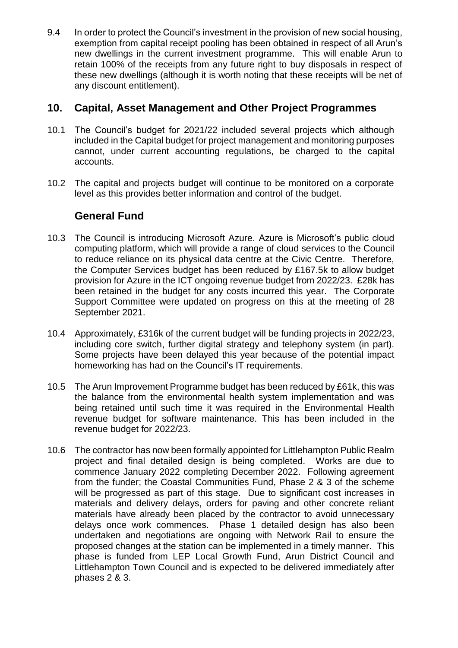9.4 In order to protect the Council's investment in the provision of new social housing, exemption from capital receipt pooling has been obtained in respect of all Arun's new dwellings in the current investment programme. This will enable Arun to retain 100% of the receipts from any future right to buy disposals in respect of these new dwellings (although it is worth noting that these receipts will be net of any discount entitlement).

#### **10. Capital, Asset Management and Other Project Programmes**

- 10.1 The Council's budget for 2021/22 included several projects which although included in the Capital budget for project management and monitoring purposes cannot, under current accounting regulations, be charged to the capital accounts.
- 10.2 The capital and projects budget will continue to be monitored on a corporate level as this provides better information and control of the budget.

#### **General Fund**

- 10.3 The Council is introducing Microsoft Azure. Azure is Microsoft's public cloud computing platform, which will provide a range of cloud services to the Council to reduce reliance on its physical data centre at the Civic Centre. Therefore, the Computer Services budget has been reduced by £167.5k to allow budget provision for Azure in the ICT ongoing revenue budget from 2022/23. £28k has been retained in the budget for any costs incurred this year. The Corporate Support Committee were updated on progress on this at the meeting of 28 September 2021.
- 10.4 Approximately, £316k of the current budget will be funding projects in 2022/23, including core switch, further digital strategy and telephony system (in part). Some projects have been delayed this year because of the potential impact homeworking has had on the Council's IT requirements.
- 10.5 The Arun Improvement Programme budget has been reduced by £61k, this was the balance from the environmental health system implementation and was being retained until such time it was required in the Environmental Health revenue budget for software maintenance. This has been included in the revenue budget for 2022/23.
- 10.6 The contractor has now been formally appointed for Littlehampton Public Realm project and final detailed design is being completed. Works are due to commence January 2022 completing December 2022. Following agreement from the funder; the Coastal Communities Fund, Phase 2 & 3 of the scheme will be progressed as part of this stage. Due to significant cost increases in materials and delivery delays, orders for paving and other concrete reliant materials have already been placed by the contractor to avoid unnecessary delays once work commences. Phase 1 detailed design has also been undertaken and negotiations are ongoing with Network Rail to ensure the proposed changes at the station can be implemented in a timely manner. This phase is funded from LEP Local Growth Fund, Arun District Council and Littlehampton Town Council and is expected to be delivered immediately after phases 2 & 3.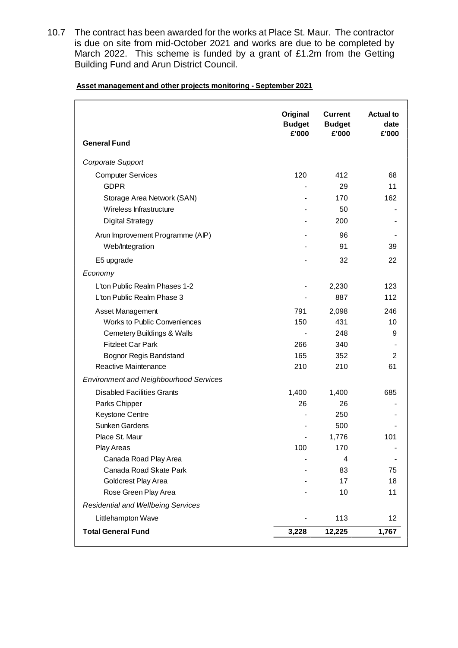10.7 The contract has been awarded for the works at Place St. Maur. The contractor is due on site from mid-October 2021 and works are due to be completed by March 2022. This scheme is funded by a grant of £1.2m from the Getting Building Fund and Arun District Council.

**Asset management and other projects monitoring - September 2021**

| <b>General Fund</b>                           | Original<br><b>Budget</b><br>£'000 | <b>Current</b><br><b>Budget</b><br>£'000 | <b>Actual to</b><br>date<br>£'000 |
|-----------------------------------------------|------------------------------------|------------------------------------------|-----------------------------------|
| Corporate Support                             |                                    |                                          |                                   |
| <b>Computer Services</b>                      | 120                                | 412                                      | 68                                |
| <b>GDPR</b>                                   |                                    | 29                                       | 11                                |
| Storage Area Network (SAN)                    |                                    | 170                                      | 162                               |
| Wireless Infrastructure                       |                                    | 50                                       |                                   |
| <b>Digital Strategy</b>                       |                                    | 200                                      |                                   |
| Arun Improvement Programme (AIP)              |                                    | 96                                       |                                   |
| Web/Integration                               |                                    | 91                                       | 39                                |
| E5 upgrade                                    |                                    | 32                                       | 22                                |
| Economy                                       |                                    |                                          |                                   |
| L'ton Public Realm Phases 1-2                 |                                    | 2,230                                    | 123                               |
| L'ton Public Realm Phase 3                    |                                    | 887                                      | 112                               |
| Asset Management                              | 791                                | 2,098                                    | 246                               |
| <b>Works to Public Conveniences</b>           | 150                                | 431                                      | 10                                |
| <b>Cemetery Buildings &amp; Walls</b>         |                                    | 248                                      | 9                                 |
| <b>Fitzleet Car Park</b>                      | 266                                | 340                                      |                                   |
| <b>Bognor Regis Bandstand</b>                 | 165                                | 352                                      | 2                                 |
| Reactive Maintenance                          | 210                                | 210                                      | 61                                |
| <b>Environment and Neighbourhood Services</b> |                                    |                                          |                                   |
| <b>Disabled Facilities Grants</b>             | 1,400                              | 1,400                                    | 685                               |
| Parks Chipper                                 | 26                                 | 26                                       |                                   |
| Keystone Centre                               |                                    | 250                                      |                                   |
| Sunken Gardens                                |                                    | 500                                      |                                   |
| Place St. Maur                                |                                    | 1,776                                    | 101                               |
| Play Areas                                    | 100                                | 170                                      |                                   |
| Canada Road Play Area                         |                                    | 4                                        |                                   |
| Canada Road Skate Park                        |                                    | 83                                       | 75                                |
| Goldcrest Play Area<br>Rose Green Play Area   |                                    | 17                                       | 18                                |
|                                               |                                    | 10                                       | 11                                |
| <b>Residential and Wellbeing Services</b>     |                                    |                                          |                                   |
| Littlehampton Wave                            |                                    | 113                                      | 12                                |
| <b>Total General Fund</b>                     | 3,228                              | 12,225                                   | 1,767                             |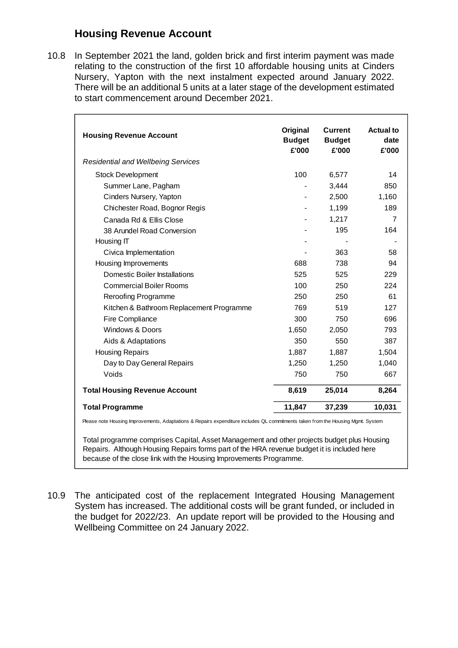# **Housing Revenue Account**

10.8 In September 2021 the land, golden brick and first interim payment was made relating to the construction of the first 10 affordable housing units at Cinders Nursery, Yapton with the next instalment expected around January 2022. There will be an additional 5 units at a later stage of the development estimated to start commencement around December 2021.

| <b>Housing Revenue Account</b>            | Original<br><b>Budget</b><br>£'000 | <b>Current</b><br><b>Budget</b><br>£'000 | <b>Actual to</b><br>date<br>£'000 |
|-------------------------------------------|------------------------------------|------------------------------------------|-----------------------------------|
| <b>Residential and Wellbeing Services</b> |                                    |                                          |                                   |
| <b>Stock Development</b>                  | 100                                | 6,577                                    | 14                                |
| Summer Lane, Pagham                       |                                    | 3,444                                    | 850                               |
| Cinders Nursery, Yapton                   |                                    | 2,500                                    | 1,160                             |
| Chichester Road, Bognor Regis             |                                    | 1,199                                    | 189                               |
| Canada Rd & Ellis Close                   |                                    | 1,217                                    | 7                                 |
| 38 Arundel Road Conversion                |                                    | 195                                      | 164                               |
| Housing IT                                |                                    |                                          |                                   |
| Civica Implementation                     |                                    | 363                                      | 58                                |
| Housing Improvements                      | 688                                | 738                                      | 94                                |
| Domestic Boiler Installations             | 525                                | 525                                      | 229                               |
| <b>Commercial Boiler Rooms</b>            | 100                                | 250                                      | 224                               |
| <b>Reroofing Programme</b>                | 250                                | 250                                      | 61                                |
| Kitchen & Bathroom Replacement Programme  | 769                                | 519                                      | 127                               |
| Fire Compliance                           | 300                                | 750                                      | 696                               |
| <b>Windows &amp; Doors</b>                | 1,650                              | 2,050                                    | 793                               |
| Aids & Adaptations                        | 350                                | 550                                      | 387                               |
| <b>Housing Repairs</b>                    | 1,887                              | 1,887                                    | 1,504                             |
| Day to Day General Repairs                | 1,250                              | 1,250                                    | 1,040                             |
| Voids                                     | 750                                | 750                                      | 667                               |
| <b>Total Housing Revenue Account</b>      | 8,619                              | 25,014                                   | 8,264                             |
| <b>Total Programme</b>                    | 11,847                             | 37,239                                   | 10,031                            |

Please note Housing Improvements, Adaptations & Repairs expenditure includes QL commitments taken from the Housing Mgmt. System

Total programme comprises Capital, Asset Management and other projects budget plus Housing Repairs. Although Housing Repairs forms part of the HRA revenue budget it is included here because of the close link with the Housing Improvements Programme.

10.9 The anticipated cost of the replacement Integrated Housing Management System has increased. The additional costs will be grant funded, or included in the budget for 2022/23. An update report will be provided to the Housing and Wellbeing Committee on 24 January 2022.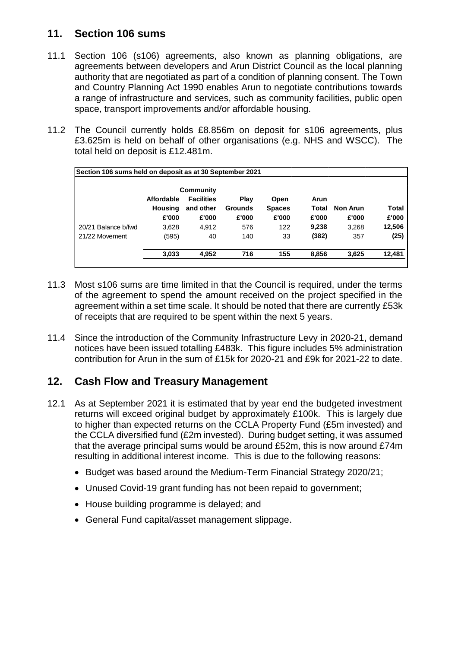# **11. Section 106 sums**

- 11.1 Section 106 (s106) agreements, also known as planning obligations, are agreements between developers and Arun District Council as the local planning authority that are negotiated as part of a condition of planning consent. The Town and Country Planning Act 1990 enables Arun to negotiate contributions towards a range of infrastructure and services, such as community facilities, public open space, transport improvements and/or affordable housing.
- 11.2 The Council currently holds £8.856m on deposit for s106 agreements, plus £3.625m is held on behalf of other organisations (e.g. NHS and WSCC). The total held on deposit is £12.481m.

| Section 106 sums held on deposit as at 30 September 2021 |                                       |                                         |                                 |                                |                        |                          |                |
|----------------------------------------------------------|---------------------------------------|-----------------------------------------|---------------------------------|--------------------------------|------------------------|--------------------------|----------------|
|                                                          | Community                             |                                         |                                 |                                |                        |                          |                |
|                                                          | Affordable<br><b>Housing</b><br>£'000 | <b>Facilities</b><br>and other<br>£'000 | Play<br><b>Grounds</b><br>£'000 | Open<br><b>Spaces</b><br>£'000 | Arun<br>Total<br>£'000 | <b>Non Arun</b><br>£'000 | Total<br>£'000 |
| 20/21 Balance b/fwd                                      | 3,628                                 | 4,912                                   | 576                             | 122                            | 9,238                  | 3,268                    | 12,506         |
| 21/22 Movement                                           | (595)                                 | 40                                      | 140                             | 33                             | (382)                  | 357                      | (25)           |
|                                                          | 3,033                                 | 4,952                                   | 716                             | 155                            | 8,856                  | 3,625                    | 12,481         |

- 11.3 Most s106 sums are time limited in that the Council is required, under the terms of the agreement to spend the amount received on the project specified in the agreement within a set time scale. It should be noted that there are currently £53k of receipts that are required to be spent within the next 5 years.
- 11.4 Since the introduction of the Community Infrastructure Levy in 2020-21, demand notices have been issued totalling £483k. This figure includes 5% administration contribution for Arun in the sum of £15k for 2020-21 and £9k for 2021-22 to date.

# **12. Cash Flow and Treasury Management**

- 12.1 As at September 2021 it is estimated that by year end the budgeted investment returns will exceed original budget by approximately £100k. This is largely due to higher than expected returns on the CCLA Property Fund (£5m invested) and the CCLA diversified fund (£2m invested). During budget setting, it was assumed that the average principal sums would be around £52m, this is now around £74m resulting in additional interest income. This is due to the following reasons:
	- Budget was based around the Medium-Term Financial Strategy 2020/21;
	- Unused Covid-19 grant funding has not been repaid to government;
	- House building programme is delayed; and
	- General Fund capital/asset management slippage.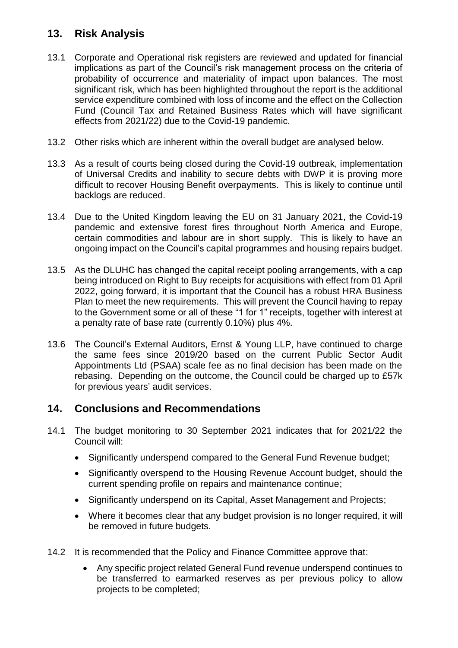# **13. Risk Analysis**

- 13.1 Corporate and Operational risk registers are reviewed and updated for financial implications as part of the Council's risk management process on the criteria of probability of occurrence and materiality of impact upon balances. The most significant risk, which has been highlighted throughout the report is the additional service expenditure combined with loss of income and the effect on the Collection Fund (Council Tax and Retained Business Rates which will have significant effects from 2021/22) due to the Covid-19 pandemic.
- 13.2 Other risks which are inherent within the overall budget are analysed below.
- 13.3 As a result of courts being closed during the Covid-19 outbreak, implementation of Universal Credits and inability to secure debts with DWP it is proving more difficult to recover Housing Benefit overpayments. This is likely to continue until backlogs are reduced.
- 13.4 Due to the United Kingdom leaving the EU on 31 January 2021, the Covid-19 pandemic and extensive forest fires throughout North America and Europe, certain commodities and labour are in short supply. This is likely to have an ongoing impact on the Council's capital programmes and housing repairs budget.
- 13.5 As the DLUHC has changed the capital receipt pooling arrangements, with a cap being introduced on Right to Buy receipts for acquisitions with effect from 01 April 2022, going forward, it is important that the Council has a robust HRA Business Plan to meet the new requirements. This will prevent the Council having to repay to the Government some or all of these "1 for 1" receipts, together with interest at a penalty rate of base rate (currently 0.10%) plus 4%.
- 13.6 The Council's External Auditors, Ernst & Young LLP, have continued to charge the same fees since 2019/20 based on the current Public Sector Audit Appointments Ltd (PSAA) scale fee as no final decision has been made on the rebasing. Depending on the outcome, the Council could be charged up to £57k for previous years' audit services.

#### **14. Conclusions and Recommendations**

- 14.1 The budget monitoring to 30 September 2021 indicates that for 2021/22 the Council will:
	- Significantly underspend compared to the General Fund Revenue budget;
	- Significantly overspend to the Housing Revenue Account budget, should the current spending profile on repairs and maintenance continue;
	- Significantly underspend on its Capital, Asset Management and Projects;
	- Where it becomes clear that any budget provision is no longer required, it will be removed in future budgets.
- 14.2 It is recommended that the Policy and Finance Committee approve that:
	- Any specific project related General Fund revenue underspend continues to be transferred to earmarked reserves as per previous policy to allow projects to be completed;